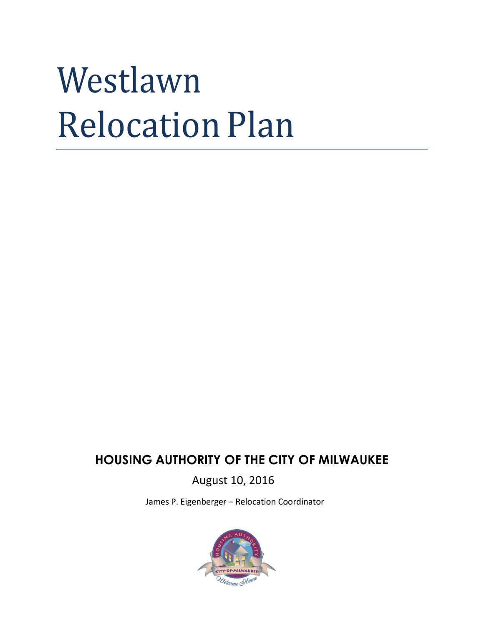# Westlawn Relocation Plan

### **HOUSING AUTHORITY OF THE CITY OF MILWAUKEE**

August 10, 2016

James P. Eigenberger – Relocation Coordinator

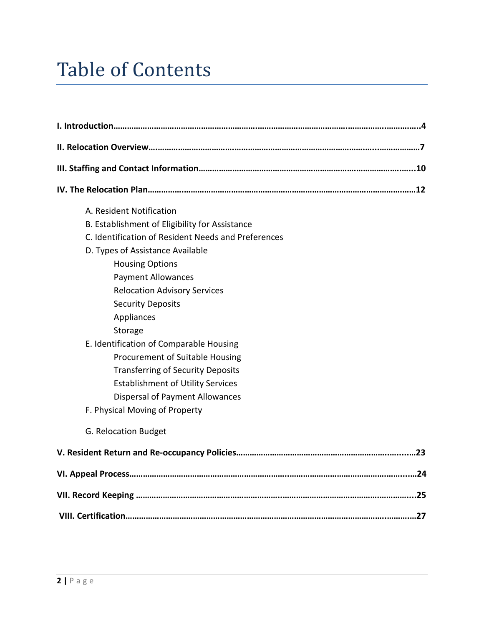### Table of Contents

| A. Resident Notification                            |
|-----------------------------------------------------|
| B. Establishment of Eligibility for Assistance      |
| C. Identification of Resident Needs and Preferences |
| D. Types of Assistance Available                    |
| <b>Housing Options</b>                              |
| <b>Payment Allowances</b>                           |
| <b>Relocation Advisory Services</b>                 |
| <b>Security Deposits</b>                            |
| Appliances                                          |
| Storage                                             |
| E. Identification of Comparable Housing             |
| Procurement of Suitable Housing                     |
| <b>Transferring of Security Deposits</b>            |
| <b>Establishment of Utility Services</b>            |
| <b>Dispersal of Payment Allowances</b>              |
| F. Physical Moving of Property                      |
| G. Relocation Budget                                |
|                                                     |
|                                                     |
|                                                     |
|                                                     |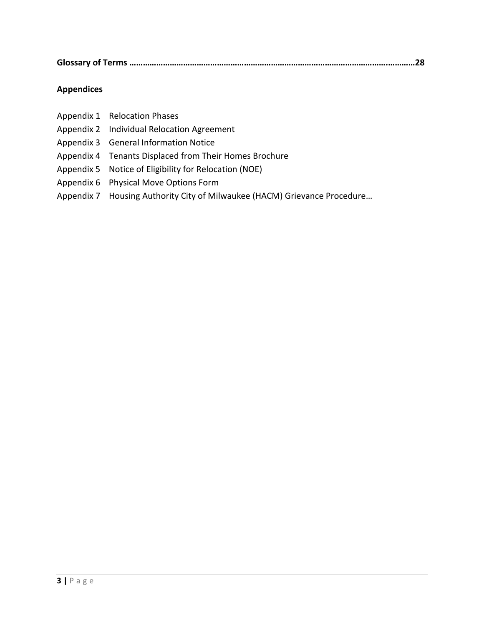|--|--|

#### **Appendices**

| Appendix 1 Relocation Phases                                              |
|---------------------------------------------------------------------------|
| Appendix 2 Individual Relocation Agreement                                |
| Appendix 3 General Information Notice                                     |
| Appendix 4 Tenants Displaced from Their Homes Brochure                    |
| Appendix 5 Notice of Eligibility for Relocation (NOE)                     |
| Appendix 6 Physical Move Options Form                                     |
| Appendix 7 Housing Authority City of Milwaukee (HACM) Grievance Procedure |
|                                                                           |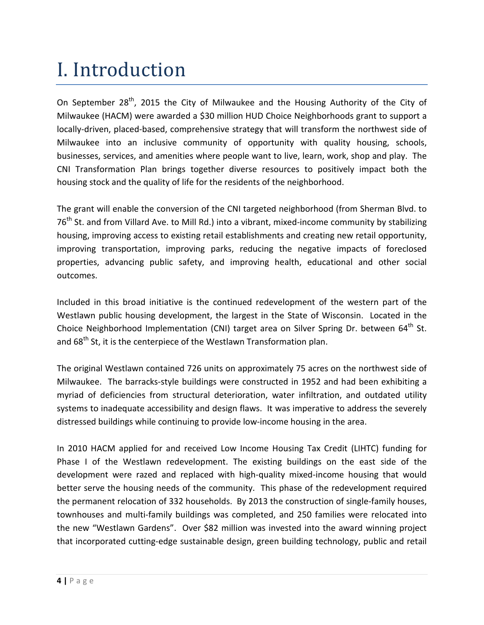### I. Introduction

On September 28<sup>th</sup>, 2015 the City of Milwaukee and the Housing Authority of the City of Milwaukee (HACM) were awarded a \$30 million HUD Choice Neighborhoods grant to support a locally-driven, placed-based, comprehensive strategy that will transform the northwest side of Milwaukee into an inclusive community of opportunity with quality housing, schools, businesses, services, and amenities where people want to live, learn, work, shop and play. The CNI Transformation Plan brings together diverse resources to positively impact both the housing stock and the quality of life for the residents of the neighborhood.

The grant will enable the conversion of the CNI targeted neighborhood (from Sherman Blvd. to 76<sup>th</sup> St. and from Villard Ave. to Mill Rd.) into a vibrant, mixed-income community by stabilizing housing, improving access to existing retail establishments and creating new retail opportunity, improving transportation, improving parks, reducing the negative impacts of foreclosed properties, advancing public safety, and improving health, educational and other social outcomes.

Included in this broad initiative is the continued redevelopment of the western part of the Westlawn public housing development, the largest in the State of Wisconsin. Located in the Choice Neighborhood Implementation (CNI) target area on Silver Spring Dr. between  $64<sup>th</sup>$  St. and 68<sup>th</sup> St, it is the centerpiece of the Westlawn Transformation plan.

The original Westlawn contained 726 units on approximately 75 acres on the northwest side of Milwaukee. The barracks-style buildings were constructed in 1952 and had been exhibiting a myriad of deficiencies from structural deterioration, water infiltration, and outdated utility systems to inadequate accessibility and design flaws. It was imperative to address the severely distressed buildings while continuing to provide low-income housing in the area.

In 2010 HACM applied for and received Low Income Housing Tax Credit (LIHTC) funding for Phase I of the Westlawn redevelopment. The existing buildings on the east side of the development were razed and replaced with high-quality mixed-income housing that would better serve the housing needs of the community. This phase of the redevelopment required the permanent relocation of 332 households. By 2013 the construction of single-family houses, townhouses and multi-family buildings was completed, and 250 families were relocated into the new "Westlawn Gardens". Over \$82 million was invested into the award winning project that incorporated cutting-edge sustainable design, green building technology, public and retail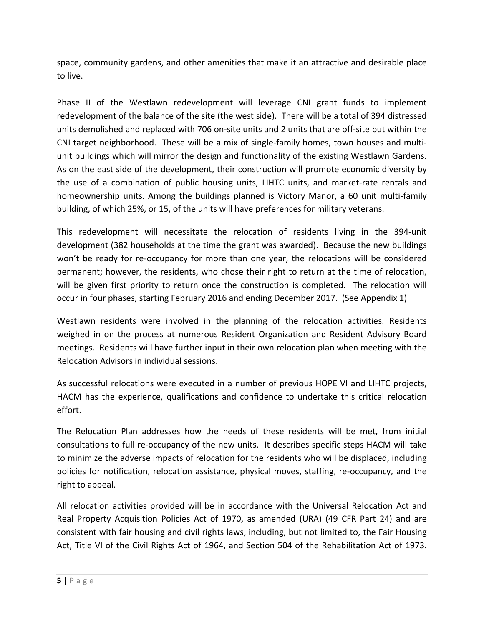space, community gardens, and other amenities that make it an attractive and desirable place to live.

Phase II of the Westlawn redevelopment will leverage CNI grant funds to implement redevelopment of the balance of the site (the west side). There will be a total of 394 distressed units demolished and replaced with 706 on-site units and 2 units that are off-site but within the CNI target neighborhood. These will be a mix of single-family homes, town houses and multiunit buildings which will mirror the design and functionality of the existing Westlawn Gardens. As on the east side of the development, their construction will promote economic diversity by the use of a combination of public housing units, LIHTC units, and market-rate rentals and homeownership units. Among the buildings planned is Victory Manor, a 60 unit multi-family building, of which 25%, or 15, of the units will have preferences for military veterans.

This redevelopment will necessitate the relocation of residents living in the 394-unit development (382 households at the time the grant was awarded). Because the new buildings won't be ready for re-occupancy for more than one year, the relocations will be considered permanent; however, the residents, who chose their right to return at the time of relocation, will be given first priority to return once the construction is completed. The relocation will occur in four phases, starting February 2016 and ending December 2017. (See Appendix 1)

Westlawn residents were involved in the planning of the relocation activities. Residents weighed in on the process at numerous Resident Organization and Resident Advisory Board meetings. Residents will have further input in their own relocation plan when meeting with the Relocation Advisors in individual sessions.

As successful relocations were executed in a number of previous HOPE VI and LIHTC projects, HACM has the experience, qualifications and confidence to undertake this critical relocation effort.

The Relocation Plan addresses how the needs of these residents will be met, from initial consultations to full re-occupancy of the new units. It describes specific steps HACM will take to minimize the adverse impacts of relocation for the residents who will be displaced, including policies for notification, relocation assistance, physical moves, staffing, re-occupancy, and the right to appeal.

All relocation activities provided will be in accordance with the Universal Relocation Act and Real Property Acquisition Policies Act of 1970, as amended (URA) (49 CFR Part 24) and are consistent with fair housing and civil rights laws, including, but not limited to, the Fair Housing Act, Title VI of the Civil Rights Act of 1964, and Section 504 of the Rehabilitation Act of 1973.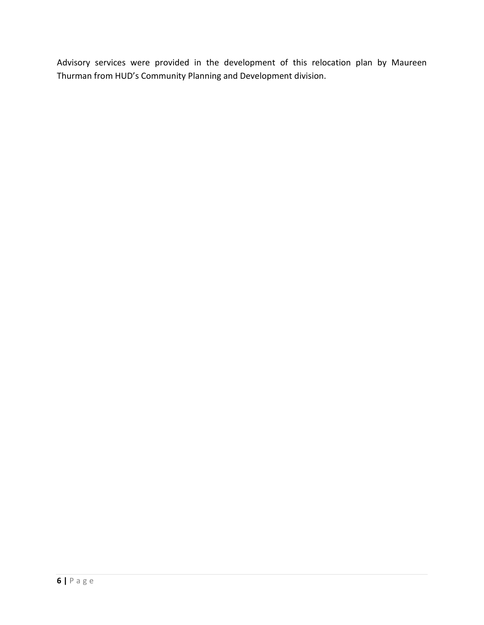Advisory services were provided in the development of this relocation plan by Maureen Thurman from HUD's Community Planning and Development division.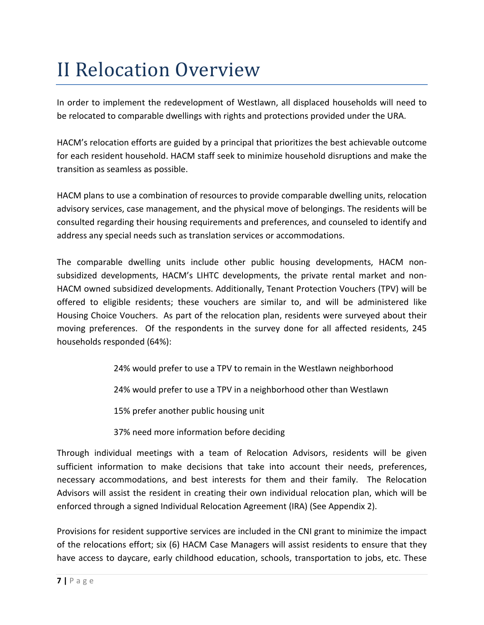### II Relocation Overview

In order to implement the redevelopment of Westlawn, all displaced households will need to be relocated to comparable dwellings with rights and protections provided under the URA.

HACM's relocation efforts are guided by a principal that prioritizes the best achievable outcome for each resident household. HACM staff seek to minimize household disruptions and make the transition as seamless as possible.

HACM plans to use a combination of resources to provide comparable dwelling units, relocation advisory services, case management, and the physical move of belongings. The residents will be consulted regarding their housing requirements and preferences, and counseled to identify and address any special needs such as translation services or accommodations.

The comparable dwelling units include other public housing developments, HACM nonsubsidized developments, HACM's LIHTC developments, the private rental market and non-HACM owned subsidized developments. Additionally, Tenant Protection Vouchers (TPV) will be offered to eligible residents; these vouchers are similar to, and will be administered like Housing Choice Vouchers. As part of the relocation plan, residents were surveyed about their moving preferences. Of the respondents in the survey done for all affected residents, 245 households responded (64%):

- 24% would prefer to use a TPV to remain in the Westlawn neighborhood
- 24% would prefer to use a TPV in a neighborhood other than Westlawn

15% prefer another public housing unit

37% need more information before deciding

Through individual meetings with a team of Relocation Advisors, residents will be given sufficient information to make decisions that take into account their needs, preferences, necessary accommodations, and best interests for them and their family. The Relocation Advisors will assist the resident in creating their own individual relocation plan, which will be enforced through a signed Individual Relocation Agreement (IRA) (See Appendix 2).

Provisions for resident supportive services are included in the CNI grant to minimize the impact of the relocations effort; six (6) HACM Case Managers will assist residents to ensure that they have access to daycare, early childhood education, schools, transportation to jobs, etc. These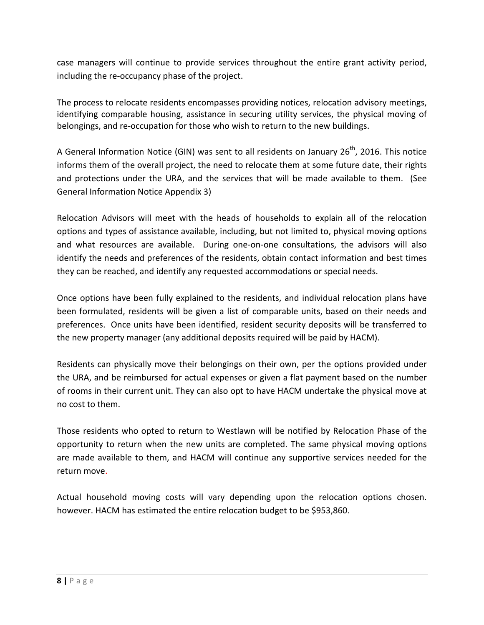case managers will continue to provide services throughout the entire grant activity period, including the re-occupancy phase of the project.

The process to relocate residents encompasses providing notices, relocation advisory meetings, identifying comparable housing, assistance in securing utility services, the physical moving of belongings, and re-occupation for those who wish to return to the new buildings.

A General Information Notice (GIN) was sent to all residents on January  $26^{th}$ , 2016. This notice informs them of the overall project, the need to relocate them at some future date, their rights and protections under the URA, and the services that will be made available to them. (See General Information Notice Appendix 3)

Relocation Advisors will meet with the heads of households to explain all of the relocation options and types of assistance available, including, but not limited to, physical moving options and what resources are available. During one-on-one consultations, the advisors will also identify the needs and preferences of the residents, obtain contact information and best times they can be reached, and identify any requested accommodations or special needs.

Once options have been fully explained to the residents, and individual relocation plans have been formulated, residents will be given a list of comparable units, based on their needs and preferences. Once units have been identified, resident security deposits will be transferred to the new property manager (any additional deposits required will be paid by HACM).

Residents can physically move their belongings on their own, per the options provided under the URA, and be reimbursed for actual expenses or given a flat payment based on the number of rooms in their current unit. They can also opt to have HACM undertake the physical move at no cost to them.

Those residents who opted to return to Westlawn will be notified by Relocation Phase of the opportunity to return when the new units are completed. The same physical moving options are made available to them, and HACM will continue any supportive services needed for the return move.

Actual household moving costs will vary depending upon the relocation options chosen. however. HACM has estimated the entire relocation budget to be \$953,860.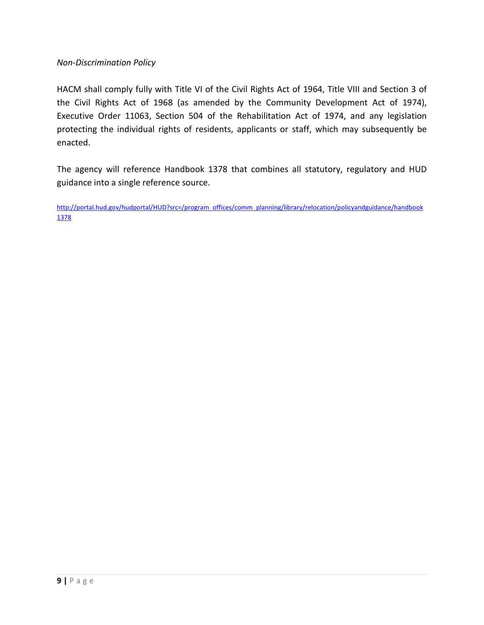#### *Non-Discrimination Policy*

HACM shall comply fully with Title VI of the Civil Rights Act of 1964, Title VIII and Section 3 of the Civil Rights Act of 1968 (as amended by the Community Development Act of 1974), Executive Order 11063, Section 504 of the Rehabilitation Act of 1974, and any legislation protecting the individual rights of residents, applicants or staff, which may subsequently be enacted.

The agency will reference Handbook 1378 that combines all statutory, regulatory and HUD guidance into a single reference source.

[http://portal.hud.gov/hudportal/HUD?src=/program\\_offices/comm\\_planning/library/relocation/policyandguidance/handbook](http://portal.hud.gov/hudportal/HUD?src=/program_offices/comm_planning/library/relocation/policyandguidance/handbook1378) [1378](http://portal.hud.gov/hudportal/HUD?src=/program_offices/comm_planning/library/relocation/policyandguidance/handbook1378)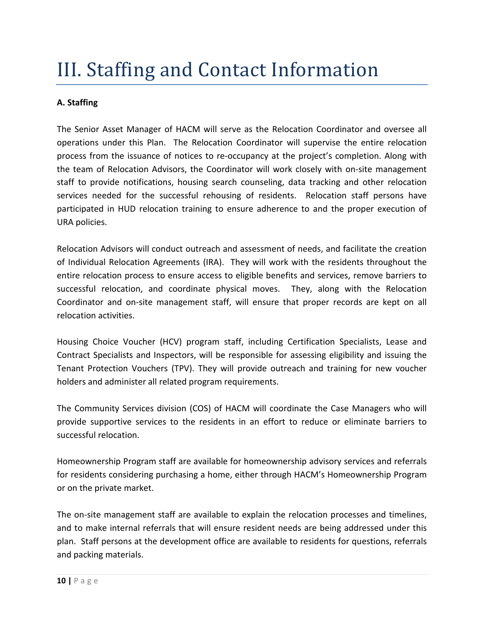### III. Staffing and Contact Information

#### **A. Staffing**

The Senior Asset Manager of HACM will serve as the Relocation Coordinator and oversee all operations under this Plan. The Relocation Coordinator will supervise the entire relocation process from the issuance of notices to re-occupancy at the project's completion. Along with the team of Relocation Advisors, the Coordinator will work closely with on-site management staff to provide notifications, housing search counseling, data tracking and other relocation services needed for the successful rehousing of residents. Relocation staff persons have participated in HUD relocation training to ensure adherence to and the proper execution of URA policies.

Relocation Advisors will conduct outreach and assessment of needs, and facilitate the creation of Individual Relocation Agreements (IRA). They will work with the residents throughout the entire relocation process to ensure access to eligible benefits and services, remove barriers to successful relocation, and coordinate physical moves. They, along with the Relocation Coordinator and on-site management staff, will ensure that proper records are kept on all relocation activities.

Housing Choice Voucher (HCV) program staff, including Certification Specialists, Lease and Contract Specialists and Inspectors, will be responsible for assessing eligibility and issuing the Tenant Protection Vouchers (TPV). They will provide outreach and training for new voucher holders and administer all related program requirements.

The Community Services division (COS) of HACM will coordinate the Case Managers who will provide supportive services to the residents in an effort to reduce or eliminate barriers to successful relocation.

Homeownership Program staff are available for homeownership advisory services and referrals for residents considering purchasing a home, either through HACM's Homeownership Program or on the private market.

The on-site management staff are available to explain the relocation processes and timelines, and to make internal referrals that will ensure resident needs are being addressed under this plan. Staff persons at the development office are available to residents for questions, referrals and packing materials.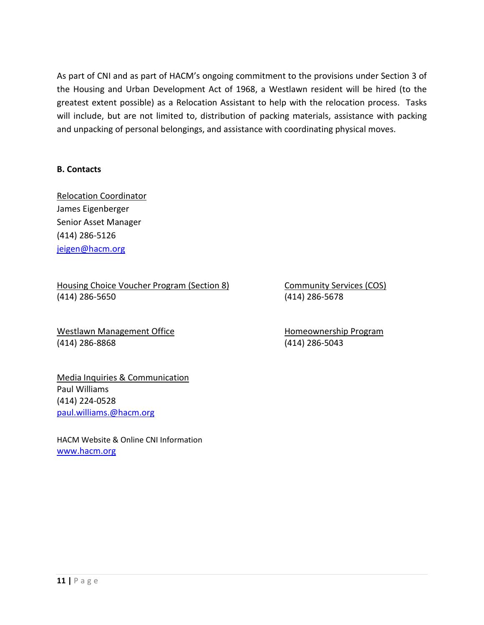As part of CNI and as part of HACM's ongoing commitment to the provisions under Section 3 of the Housing and Urban Development Act of 1968, a Westlawn resident will be hired (to the greatest extent possible) as a Relocation Assistant to help with the relocation process. Tasks will include, but are not limited to, distribution of packing materials, assistance with packing and unpacking of personal belongings, and assistance with coordinating physical moves.

#### **B. Contacts**

Relocation Coordinator James Eigenberger Senior Asset Manager (414) 286-5126 [jeigen@hacm.org](mailto:jeigen@hacm.org)

#### Housing Choice Voucher Program (Section 8) Community Services (COS) (414) 286-5650 (414) 286-5678

Westlawn Management Office **Homeownership Program** (414) 286-8868 (414) 286-5043

Media Inquiries & Communication Paul Williams (414) 224-0528 [paul.williams.@hacm.org](mailto:paul.williams.@hacm.org)

HACM Website & Online CNI Information [www.hacm.org](http://www.hacm.org/)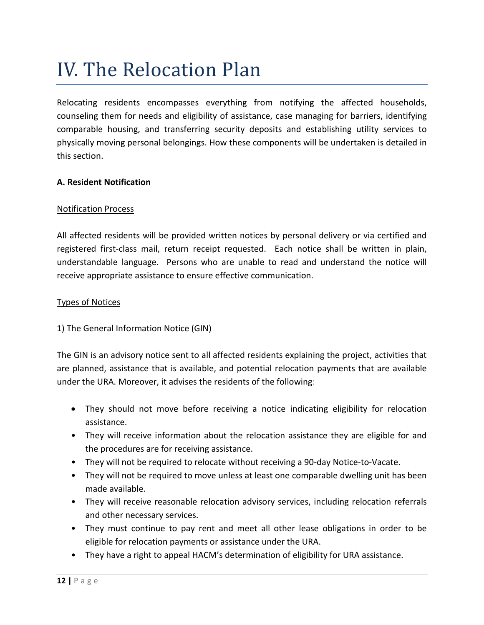### IV. The Relocation Plan

Relocating residents encompasses everything from notifying the affected households, counseling them for needs and eligibility of assistance, case managing for barriers, identifying comparable housing, and transferring security deposits and establishing utility services to physically moving personal belongings. How these components will be undertaken is detailed in this section.

#### **A. Resident Notification**

#### Notification Process

All affected residents will be provided written notices by personal delivery or via certified and registered first-class mail, return receipt requested. Each notice shall be written in plain, understandable language. Persons who are unable to read and understand the notice will receive appropriate assistance to ensure effective communication.

#### Types of Notices

1) The General Information Notice (GIN)

The GIN is an advisory notice sent to all affected residents explaining the project, activities that are planned, assistance that is available, and potential relocation payments that are available under the URA. Moreover, it advises the residents of the following:

- They should not move before receiving a notice indicating eligibility for relocation assistance.
- They will receive information about the relocation assistance they are eligible for and the procedures are for receiving assistance.
- They will not be required to relocate without receiving a 90-day Notice-to-Vacate.
- They will not be required to move unless at least one comparable dwelling unit has been made available.
- They will receive reasonable relocation advisory services, including relocation referrals and other necessary services.
- They must continue to pay rent and meet all other lease obligations in order to be eligible for relocation payments or assistance under the URA.
- They have a right to appeal HACM's determination of eligibility for URA assistance.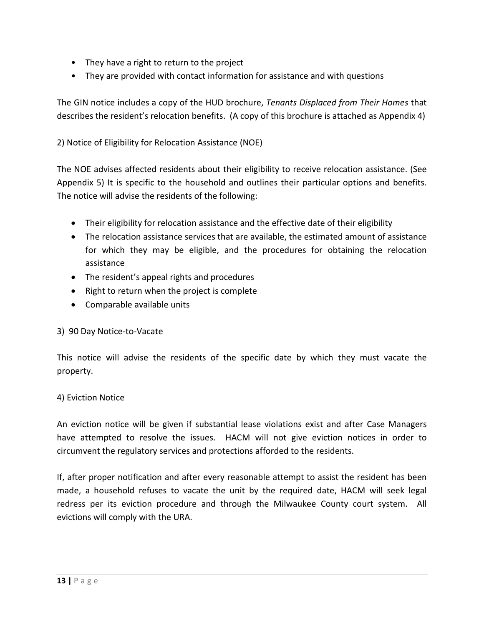- They have a right to return to the project
- They are provided with contact information for assistance and with questions

The GIN notice includes a copy of the HUD brochure, *Tenants Displaced from Their Homes* that describes the resident's relocation benefits. (A copy of this brochure is attached as Appendix 4)

2) Notice of Eligibility for Relocation Assistance (NOE)

The NOE advises affected residents about their eligibility to receive relocation assistance. (See Appendix 5) It is specific to the household and outlines their particular options and benefits. The notice will advise the residents of the following:

- Their eligibility for relocation assistance and the effective date of their eligibility
- The relocation assistance services that are available, the estimated amount of assistance for which they may be eligible, and the procedures for obtaining the relocation assistance
- The resident's appeal rights and procedures
- Right to return when the project is complete
- Comparable available units

#### 3) 90 Day Notice-to-Vacate

This notice will advise the residents of the specific date by which they must vacate the property.

#### 4) Eviction Notice

An eviction notice will be given if substantial lease violations exist and after Case Managers have attempted to resolve the issues. HACM will not give eviction notices in order to circumvent the regulatory services and protections afforded to the residents.

If, after proper notification and after every reasonable attempt to assist the resident has been made, a household refuses to vacate the unit by the required date, HACM will seek legal redress per its eviction procedure and through the Milwaukee County court system. All evictions will comply with the URA.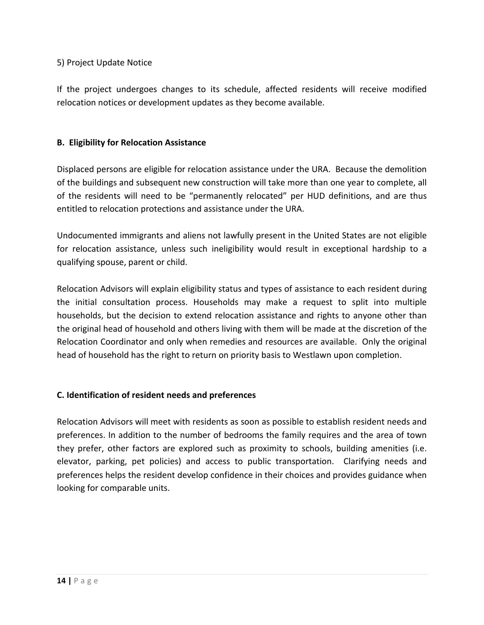#### 5) Project Update Notice

If the project undergoes changes to its schedule, affected residents will receive modified relocation notices or development updates as they become available.

#### **B. Eligibility for Relocation Assistance**

Displaced persons are eligible for relocation assistance under the URA. Because the demolition of the buildings and subsequent new construction will take more than one year to complete, all of the residents will need to be "permanently relocated" per HUD definitions, and are thus entitled to relocation protections and assistance under the URA.

Undocumented immigrants and aliens not lawfully present in the United States are not eligible for relocation assistance, unless such ineligibility would result in exceptional hardship to a qualifying spouse, parent or child.

Relocation Advisors will explain eligibility status and types of assistance to each resident during the initial consultation process. Households may make a request to split into multiple households, but the decision to extend relocation assistance and rights to anyone other than the original head of household and others living with them will be made at the discretion of the Relocation Coordinator and only when remedies and resources are available. Only the original head of household has the right to return on priority basis to Westlawn upon completion.

#### **C. Identification of resident needs and preferences**

Relocation Advisors will meet with residents as soon as possible to establish resident needs and preferences. In addition to the number of bedrooms the family requires and the area of town they prefer, other factors are explored such as proximity to schools, building amenities (i.e. elevator, parking, pet policies) and access to public transportation. Clarifying needs and preferences helps the resident develop confidence in their choices and provides guidance when looking for comparable units.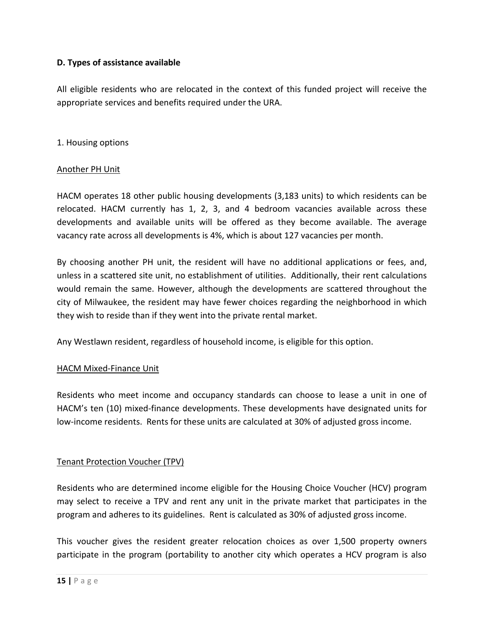#### **D. Types of assistance available**

All eligible residents who are relocated in the context of this funded project will receive the appropriate services and benefits required under the URA.

#### 1. Housing options

#### Another PH Unit

HACM operates 18 other public housing developments (3,183 units) to which residents can be relocated. HACM currently has 1, 2, 3, and 4 bedroom vacancies available across these developments and available units will be offered as they become available. The average vacancy rate across all developments is 4%, which is about 127 vacancies per month.

By choosing another PH unit, the resident will have no additional applications or fees, and, unless in a scattered site unit, no establishment of utilities. Additionally, their rent calculations would remain the same. However, although the developments are scattered throughout the city of Milwaukee, the resident may have fewer choices regarding the neighborhood in which they wish to reside than if they went into the private rental market.

Any Westlawn resident, regardless of household income, is eligible for this option.

#### HACM Mixed-Finance Unit

Residents who meet income and occupancy standards can choose to lease a unit in one of HACM's ten (10) mixed-finance developments. These developments have designated units for low-income residents. Rents for these units are calculated at 30% of adjusted gross income.

#### Tenant Protection Voucher (TPV)

Residents who are determined income eligible for the Housing Choice Voucher (HCV) program may select to receive a TPV and rent any unit in the private market that participates in the program and adheres to its guidelines. Rent is calculated as 30% of adjusted gross income.

This voucher gives the resident greater relocation choices as over 1,500 property owners participate in the program (portability to another city which operates a HCV program is also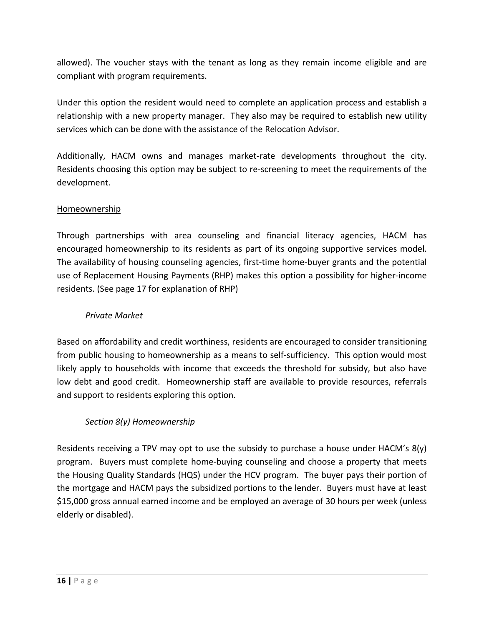allowed). The voucher stays with the tenant as long as they remain income eligible and are compliant with program requirements.

Under this option the resident would need to complete an application process and establish a relationship with a new property manager. They also may be required to establish new utility services which can be done with the assistance of the Relocation Advisor.

Additionally, HACM owns and manages market-rate developments throughout the city. Residents choosing this option may be subject to re-screening to meet the requirements of the development.

#### Homeownership

Through partnerships with area counseling and financial literacy agencies, HACM has encouraged homeownership to its residents as part of its ongoing supportive services model. The availability of housing counseling agencies, first-time home-buyer grants and the potential use of Replacement Housing Payments (RHP) makes this option a possibility for higher-income residents. (See page 17 for explanation of RHP)

#### *Private Market*

Based on affordability and credit worthiness, residents are encouraged to consider transitioning from public housing to homeownership as a means to self-sufficiency. This option would most likely apply to households with income that exceeds the threshold for subsidy, but also have low debt and good credit. Homeownership staff are available to provide resources, referrals and support to residents exploring this option.

#### *Section 8(y) Homeownership*

Residents receiving a TPV may opt to use the subsidy to purchase a house under HACM's 8(y) program. Buyers must complete home-buying counseling and choose a property that meets the Housing Quality Standards (HQS) under the HCV program. The buyer pays their portion of the mortgage and HACM pays the subsidized portions to the lender. Buyers must have at least \$15,000 gross annual earned income and be employed an average of 30 hours per week (unless elderly or disabled).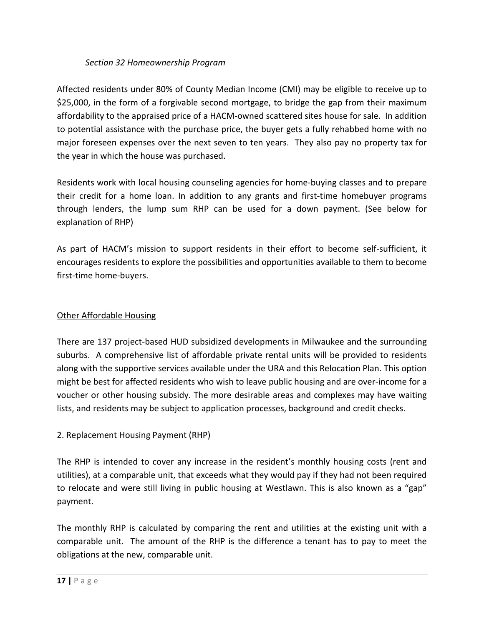#### *Section 32 Homeownership Program*

Affected residents under 80% of County Median Income (CMI) may be eligible to receive up to \$25,000, in the form of a forgivable second mortgage, to bridge the gap from their maximum affordability to the appraised price of a HACM-owned scattered sites house for sale. In addition to potential assistance with the purchase price, the buyer gets a fully rehabbed home with no major foreseen expenses over the next seven to ten years. They also pay no property tax for the year in which the house was purchased.

Residents work with local housing counseling agencies for home-buying classes and to prepare their credit for a home loan. In addition to any grants and first-time homebuyer programs through lenders, the lump sum RHP can be used for a down payment. (See below for explanation of RHP)

As part of HACM's mission to support residents in their effort to become self-sufficient, it encourages residents to explore the possibilities and opportunities available to them to become first-time home-buyers.

#### Other Affordable Housing

There are 137 project-based HUD subsidized developments in Milwaukee and the surrounding suburbs. A comprehensive list of affordable private rental units will be provided to residents along with the supportive services available under the URA and this Relocation Plan. This option might be best for affected residents who wish to leave public housing and are over-income for a voucher or other housing subsidy. The more desirable areas and complexes may have waiting lists, and residents may be subject to application processes, background and credit checks.

#### 2. Replacement Housing Payment (RHP)

The RHP is intended to cover any increase in the resident's monthly housing costs (rent and utilities), at a comparable unit, that exceeds what they would pay if they had not been required to relocate and were still living in public housing at Westlawn. This is also known as a "gap" payment.

The monthly RHP is calculated by comparing the rent and utilities at the existing unit with a comparable unit. The amount of the RHP is the difference a tenant has to pay to meet the obligations at the new, comparable unit.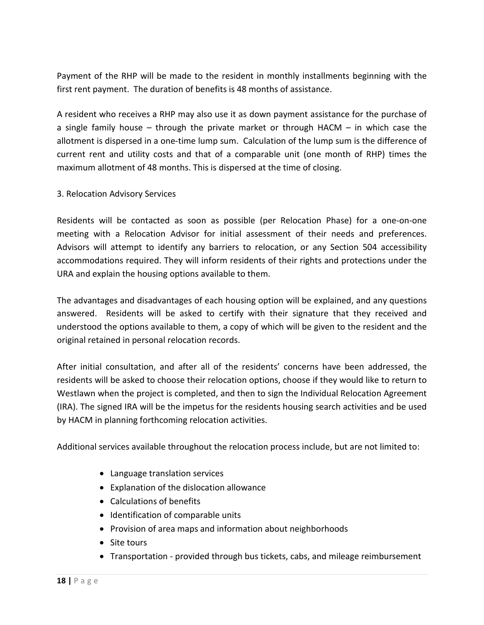Payment of the RHP will be made to the resident in monthly installments beginning with the first rent payment. The duration of benefits is 48 months of assistance.

A resident who receives a RHP may also use it as down payment assistance for the purchase of a single family house – through the private market or through HACM – in which case the allotment is dispersed in a one-time lump sum. Calculation of the lump sum is the difference of current rent and utility costs and that of a comparable unit (one month of RHP) times the maximum allotment of 48 months. This is dispersed at the time of closing.

3. Relocation Advisory Services

Residents will be contacted as soon as possible (per Relocation Phase) for a one-on-one meeting with a Relocation Advisor for initial assessment of their needs and preferences. Advisors will attempt to identify any barriers to relocation, or any Section 504 accessibility accommodations required. They will inform residents of their rights and protections under the URA and explain the housing options available to them.

The advantages and disadvantages of each housing option will be explained, and any questions answered. Residents will be asked to certify with their signature that they received and understood the options available to them, a copy of which will be given to the resident and the original retained in personal relocation records.

After initial consultation, and after all of the residents' concerns have been addressed, the residents will be asked to choose their relocation options, choose if they would like to return to Westlawn when the project is completed, and then to sign the Individual Relocation Agreement (IRA). The signed IRA will be the impetus for the residents housing search activities and be used by HACM in planning forthcoming relocation activities.

Additional services available throughout the relocation process include, but are not limited to:

- Language translation services
- Explanation of the dislocation allowance
- Calculations of benefits
- Identification of comparable units
- Provision of area maps and information about neighborhoods
- Site tours
- Transportation provided through bus tickets, cabs, and mileage reimbursement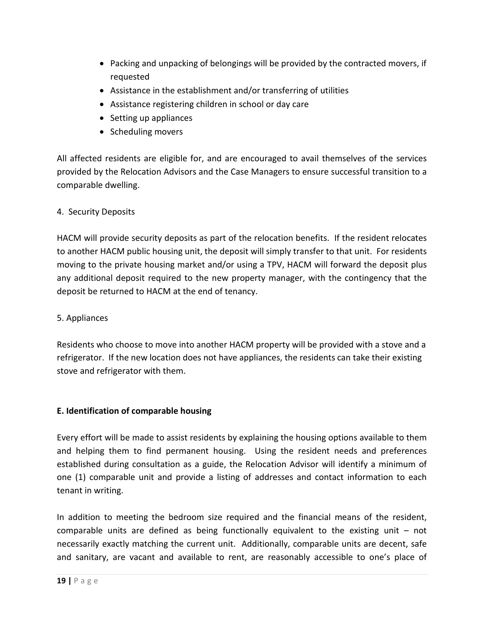- Packing and unpacking of belongings will be provided by the contracted movers, if requested
- Assistance in the establishment and/or transferring of utilities
- Assistance registering children in school or day care
- Setting up appliances
- Scheduling movers

All affected residents are eligible for, and are encouraged to avail themselves of the services provided by the Relocation Advisors and the Case Managers to ensure successful transition to a comparable dwelling.

#### 4. Security Deposits

HACM will provide security deposits as part of the relocation benefits. If the resident relocates to another HACM public housing unit, the deposit will simply transfer to that unit. For residents moving to the private housing market and/or using a TPV, HACM will forward the deposit plus any additional deposit required to the new property manager, with the contingency that the deposit be returned to HACM at the end of tenancy.

#### 5. Appliances

Residents who choose to move into another HACM property will be provided with a stove and a refrigerator. If the new location does not have appliances, the residents can take their existing stove and refrigerator with them.

#### **E. Identification of comparable housing**

Every effort will be made to assist residents by explaining the housing options available to them and helping them to find permanent housing. Using the resident needs and preferences established during consultation as a guide, the Relocation Advisor will identify a minimum of one (1) comparable unit and provide a listing of addresses and contact information to each tenant in writing.

In addition to meeting the bedroom size required and the financial means of the resident, comparable units are defined as being functionally equivalent to the existing unit  $-$  not necessarily exactly matching the current unit. Additionally, comparable units are decent, safe and sanitary, are vacant and available to rent, are reasonably accessible to one's place of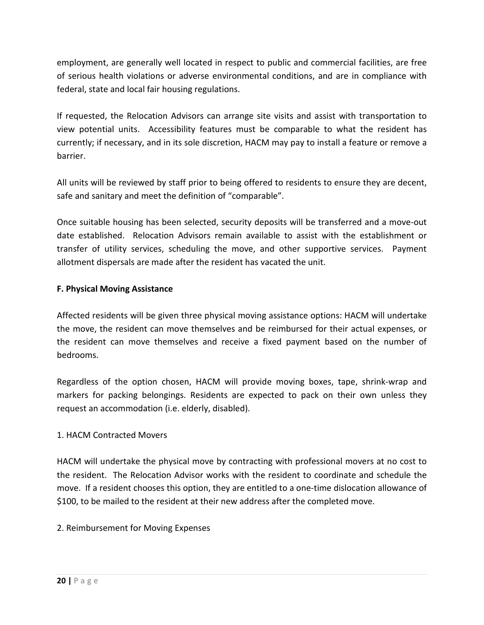employment, are generally well located in respect to public and commercial facilities, are free of serious health violations or adverse environmental conditions, and are in compliance with federal, state and local fair housing regulations.

If requested, the Relocation Advisors can arrange site visits and assist with transportation to view potential units. Accessibility features must be comparable to what the resident has currently; if necessary, and in its sole discretion, HACM may pay to install a feature or remove a barrier.

All units will be reviewed by staff prior to being offered to residents to ensure they are decent, safe and sanitary and meet the definition of "comparable".

Once suitable housing has been selected, security deposits will be transferred and a move-out date established. Relocation Advisors remain available to assist with the establishment or transfer of utility services, scheduling the move, and other supportive services. Payment allotment dispersals are made after the resident has vacated the unit.

#### **F. Physical Moving Assistance**

Affected residents will be given three physical moving assistance options: HACM will undertake the move, the resident can move themselves and be reimbursed for their actual expenses, or the resident can move themselves and receive a fixed payment based on the number of bedrooms.

Regardless of the option chosen, HACM will provide moving boxes, tape, shrink-wrap and markers for packing belongings. Residents are expected to pack on their own unless they request an accommodation (i.e. elderly, disabled).

#### 1. HACM Contracted Movers

HACM will undertake the physical move by contracting with professional movers at no cost to the resident. The Relocation Advisor works with the resident to coordinate and schedule the move. If a resident chooses this option, they are entitled to a one-time dislocation allowance of \$100, to be mailed to the resident at their new address after the completed move.

#### 2. Reimbursement for Moving Expenses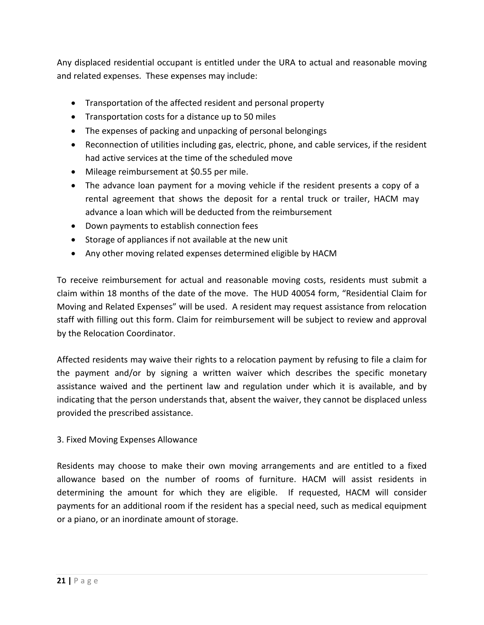Any displaced residential occupant is entitled under the URA to actual and reasonable moving and related expenses. These expenses may include:

- Transportation of the affected resident and personal property
- Transportation costs for a distance up to 50 miles
- The expenses of packing and unpacking of personal belongings
- Reconnection of utilities including gas, electric, phone, and cable services, if the resident had active services at the time of the scheduled move
- Mileage reimbursement at \$0.55 per mile.
- The advance loan payment for a moving vehicle if the resident presents a copy of a rental agreement that shows the deposit for a rental truck or trailer, HACM may advance a loan which will be deducted from the reimbursement
- Down payments to establish connection fees
- Storage of appliances if not available at the new unit
- Any other moving related expenses determined eligible by HACM

To receive reimbursement for actual and reasonable moving costs, residents must submit a claim within 18 months of the date of the move. The HUD 40054 form, "Residential Claim for Moving and Related Expenses" will be used. A resident may request assistance from relocation staff with filling out this form. Claim for reimbursement will be subject to review and approval by the Relocation Coordinator.

Affected residents may waive their rights to a relocation payment by refusing to file a claim for the payment and/or by signing a written waiver which describes the specific monetary assistance waived and the pertinent law and regulation under which it is available, and by indicating that the person understands that, absent the waiver, they cannot be displaced unless provided the prescribed assistance.

#### 3. Fixed Moving Expenses Allowance

Residents may choose to make their own moving arrangements and are entitled to a fixed allowance based on the number of rooms of furniture. HACM will assist residents in determining the amount for which they are eligible. If requested, HACM will consider payments for an additional room if the resident has a special need, such as medical equipment or a piano, or an inordinate amount of storage.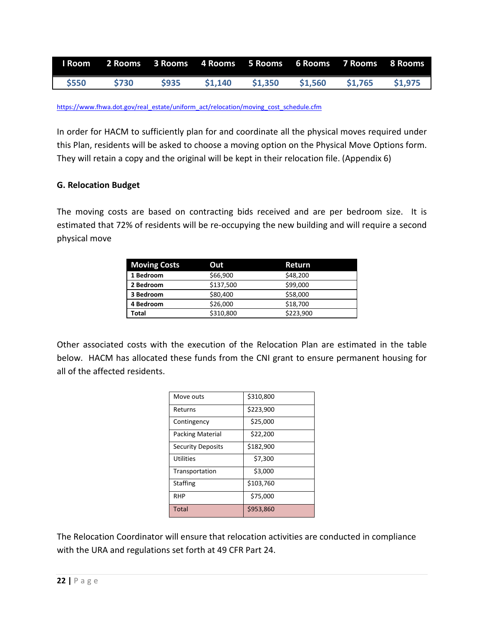|             | Room 2 Rooms 3 Rooms 4 Rooms 5 Rooms 6 Rooms 7 Rooms 8 Rooms |             |         |         |         |         |         |
|-------------|--------------------------------------------------------------|-------------|---------|---------|---------|---------|---------|
| <b>S550</b> | <b>S730</b>                                                  | <b>S935</b> | \$1,140 | \$1,350 | \$1.560 | \$1.765 | \$1.975 |

#### [https://www.fhwa.dot.gov/real\\_estate/uniform\\_act/relocation/moving\\_cost\\_schedule.cfm](https://www.fhwa.dot.gov/real_estate/uniform_act/relocation/moving_cost_schedule.cfm)

In order for HACM to sufficiently plan for and coordinate all the physical moves required under this Plan, residents will be asked to choose a moving option on the Physical Move Options form. They will retain a copy and the original will be kept in their relocation file. (Appendix 6)

#### **G. Relocation Budget**

The moving costs are based on contracting bids received and are per bedroom size. It is estimated that 72% of residents will be re-occupying the new building and will require a second physical move

| <b>Moving Costs</b> | Out       | Return    |
|---------------------|-----------|-----------|
| 1 Bedroom           | \$66,900  | \$48,200  |
| 2 Bedroom           | \$137,500 | \$99,000  |
| 3 Bedroom           | \$80,400  | \$58,000  |
| 4 Bedroom           | \$26,000  | \$18,700  |
| Total               | \$310,800 | \$223,900 |

Other associated costs with the execution of the Relocation Plan are estimated in the table below. HACM has allocated these funds from the CNI grant to ensure permanent housing for all of the affected residents.

| Move outs                | \$310,800 |
|--------------------------|-----------|
| Returns                  | \$223,900 |
| Contingency              | \$25,000  |
| <b>Packing Material</b>  | \$22,200  |
| <b>Security Deposits</b> | \$182,900 |
| <b>Utilities</b>         | \$7,300   |
| Transportation           | \$3,000   |
| <b>Staffing</b>          | \$103,760 |
| <b>RHP</b>               | \$75,000  |
| Total                    | \$953,860 |

The Relocation Coordinator will ensure that relocation activities are conducted in compliance with the URA and regulations set forth at 49 CFR Part 24.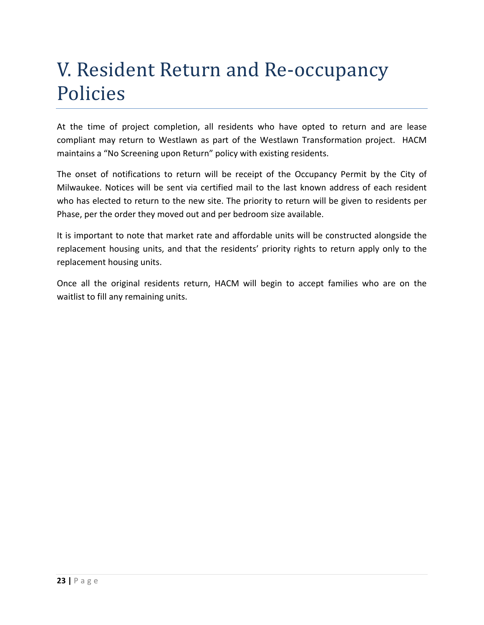### V. Resident Return and Re-occupancy Policies

At the time of project completion, all residents who have opted to return and are lease compliant may return to Westlawn as part of the Westlawn Transformation project. HACM maintains a "No Screening upon Return" policy with existing residents.

The onset of notifications to return will be receipt of the Occupancy Permit by the City of Milwaukee. Notices will be sent via certified mail to the last known address of each resident who has elected to return to the new site. The priority to return will be given to residents per Phase, per the order they moved out and per bedroom size available.

It is important to note that market rate and affordable units will be constructed alongside the replacement housing units, and that the residents' priority rights to return apply only to the replacement housing units.

Once all the original residents return, HACM will begin to accept families who are on the waitlist to fill any remaining units.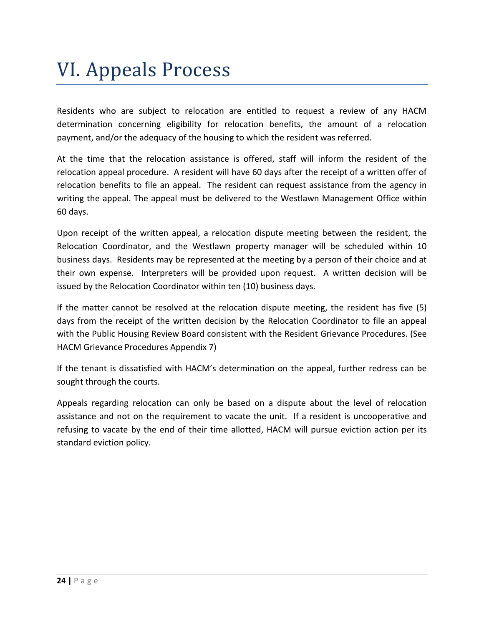### VI. Appeals Process

Residents who are subject to relocation are entitled to request a review of any HACM determination concerning eligibility for relocation benefits, the amount of a relocation payment, and/or the adequacy of the housing to which the resident was referred.

At the time that the relocation assistance is offered, staff will inform the resident of the relocation appeal procedure. A resident will have 60 days after the receipt of a written offer of relocation benefits to file an appeal. The resident can request assistance from the agency in writing the appeal. The appeal must be delivered to the Westlawn Management Office within 60 days.

Upon receipt of the written appeal, a relocation dispute meeting between the resident, the Relocation Coordinator, and the Westlawn property manager will be scheduled within 10 business days. Residents may be represented at the meeting by a person of their choice and at their own expense. Interpreters will be provided upon request. A written decision will be issued by the Relocation Coordinator within ten (10) business days.

If the matter cannot be resolved at the relocation dispute meeting, the resident has five (5) days from the receipt of the written decision by the Relocation Coordinator to file an appeal with the Public Housing Review Board consistent with the Resident Grievance Procedures. (See HACM Grievance Procedures Appendix 7)

If the tenant is dissatisfied with HACM's determination on the appeal, further redress can be sought through the courts.

Appeals regarding relocation can only be based on a dispute about the level of relocation assistance and not on the requirement to vacate the unit. If a resident is uncooperative and refusing to vacate by the end of their time allotted, HACM will pursue eviction action per its standard eviction policy.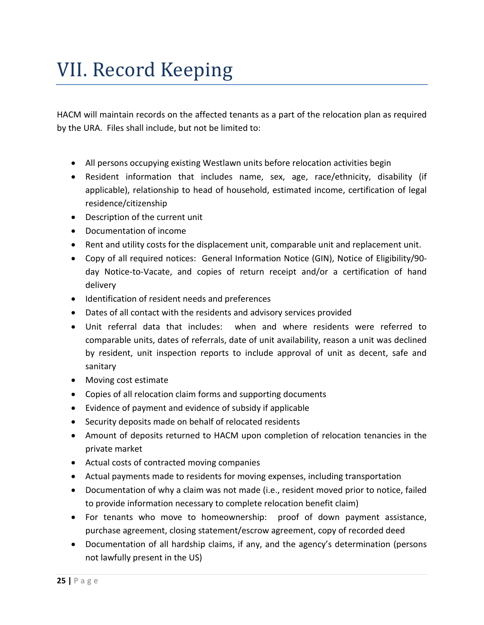### VII. Record Keeping

HACM will maintain records on the affected tenants as a part of the relocation plan as required by the URA. Files shall include, but not be limited to:

- All persons occupying existing Westlawn units before relocation activities begin
- Resident information that includes name, sex, age, race/ethnicity, disability (if applicable), relationship to head of household, estimated income, certification of legal residence/citizenship
- Description of the current unit
- Documentation of income
- Rent and utility costs for the displacement unit, comparable unit and replacement unit.
- Copy of all required notices: General Information Notice (GIN), Notice of Eligibility/90 day Notice-to-Vacate, and copies of return receipt and/or a certification of hand delivery
- Identification of resident needs and preferences
- Dates of all contact with the residents and advisory services provided
- Unit referral data that includes: when and where residents were referred to comparable units, dates of referrals, date of unit availability, reason a unit was declined by resident, unit inspection reports to include approval of unit as decent, safe and sanitary
- Moving cost estimate
- Copies of all relocation claim forms and supporting documents
- Evidence of payment and evidence of subsidy if applicable
- Security deposits made on behalf of relocated residents
- Amount of deposits returned to HACM upon completion of relocation tenancies in the private market
- Actual costs of contracted moving companies
- Actual payments made to residents for moving expenses, including transportation
- Documentation of why a claim was not made (i.e., resident moved prior to notice, failed to provide information necessary to complete relocation benefit claim)
- For tenants who move to homeownership: proof of down payment assistance, purchase agreement, closing statement/escrow agreement, copy of recorded deed
- Documentation of all hardship claims, if any, and the agency's determination (persons not lawfully present in the US)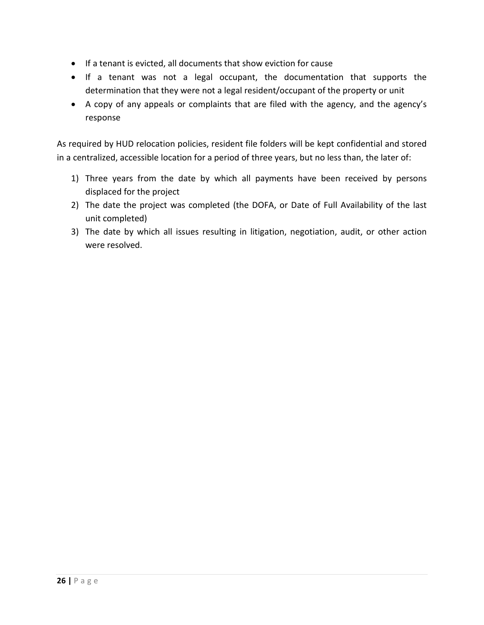- If a tenant is evicted, all documents that show eviction for cause
- If a tenant was not a legal occupant, the documentation that supports the determination that they were not a legal resident/occupant of the property or unit
- A copy of any appeals or complaints that are filed with the agency, and the agency's response

As required by HUD relocation policies, resident file folders will be kept confidential and stored in a centralized, accessible location for a period of three years, but no less than, the later of:

- 1) Three years from the date by which all payments have been received by persons displaced for the project
- 2) The date the project was completed (the DOFA, or Date of Full Availability of the last unit completed)
- 3) The date by which all issues resulting in litigation, negotiation, audit, or other action were resolved.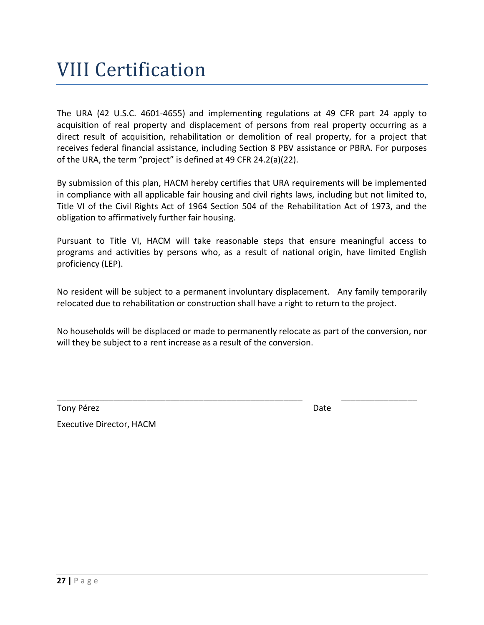### VIII Certification

The URA (42 U.S.C. 4601-4655) and implementing regulations at 49 CFR part 24 apply to acquisition of real property and displacement of persons from real property occurring as a direct result of acquisition, rehabilitation or demolition of real property, for a project that receives federal financial assistance, including Section 8 PBV assistance or PBRA. For purposes of the URA, the term "project" is defined at 49 CFR 24.2(a)(22).

By submission of this plan, HACM hereby certifies that URA requirements will be implemented in compliance with all applicable fair housing and civil rights laws, including but not limited to, Title VI of the Civil Rights Act of 1964 Section 504 of the Rehabilitation Act of 1973, and the obligation to affirmatively further fair housing.

Pursuant to Title VI, HACM will take reasonable steps that ensure meaningful access to programs and activities by persons who, as a result of national origin, have limited English proficiency (LEP).

No resident will be subject to a permanent involuntary displacement. Any family temporarily relocated due to rehabilitation or construction shall have a right to return to the project.

No households will be displaced or made to permanently relocate as part of the conversion, nor will they be subject to a rent increase as a result of the conversion.

\_\_\_\_\_\_\_\_\_\_\_\_\_\_\_\_\_\_\_\_\_\_\_\_\_\_\_\_\_\_\_\_\_\_\_\_\_\_\_\_\_\_\_\_\_\_\_\_\_\_\_\_ \_\_\_\_\_\_\_\_\_\_\_\_\_\_\_\_

Tony Pérez Date

Executive Director, HACM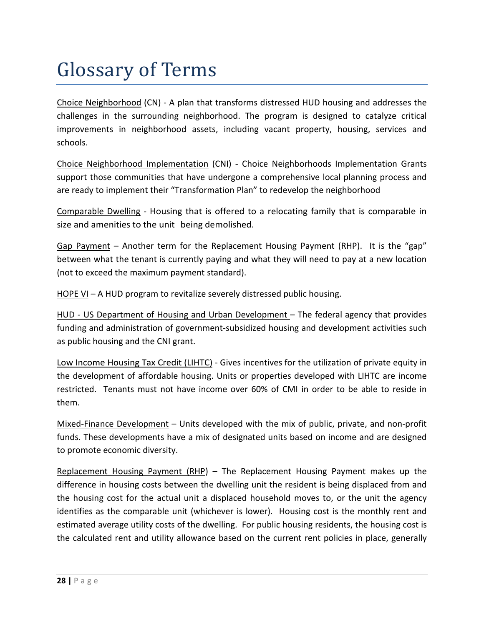### Glossary of Terms

Choice Neighborhood (CN) - A plan that transforms distressed HUD housing and addresses the challenges in the surrounding neighborhood. The program is designed to catalyze critical improvements in neighborhood assets, including vacant property, housing, services and schools.

Choice Neighborhood Implementation (CNI) - Choice Neighborhoods Implementation Grants support those communities that have undergone a comprehensive local planning process and are ready to implement their "Transformation Plan" to redevelop the neighborhood

Comparable Dwelling - Housing that is offered to a relocating family that is comparable in size and amenities to the unit being demolished.

Gap Payment – Another term for the Replacement Housing Payment (RHP). It is the "gap" between what the tenant is currently paying and what they will need to pay at a new location (not to exceed the maximum payment standard).

HOPE VI – A HUD program to revitalize severely distressed public housing.

HUD - US Department of Housing and Urban Development – The federal agency that provides funding and administration of government-subsidized housing and development activities such as public housing and the CNI grant.

Low Income Housing Tax Credit (LIHTC) - Gives incentives for the utilization of [private equity](https://en.wikipedia.org/wiki/Private_equity) in the development of [affordable housing.](https://en.wikipedia.org/wiki/Affordable_housing) Units or properties developed with LIHTC are income restricted. Tenants must not have income over 60% of CMI in order to be able to reside in them.

Mixed-Finance Development – Units developed with the mix of public, private, and non-profit funds. These developments have a mix of designated units based on income and are designed to promote economic diversity.

Replacement Housing Payment (RHP) – The Replacement Housing Payment makes up the difference in housing costs between the dwelling unit the resident is being displaced from and the housing cost for the actual unit a displaced household moves to, or the unit the agency identifies as the comparable unit (whichever is lower). Housing cost is the monthly rent and estimated average utility costs of the dwelling. For public housing residents, the housing cost is the calculated rent and utility allowance based on the current rent policies in place, generally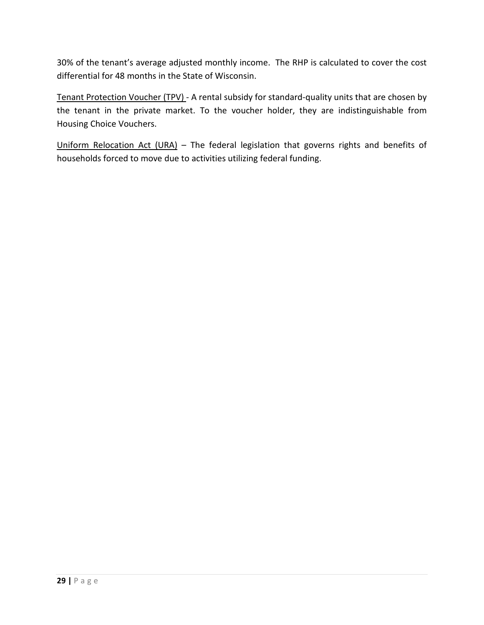30% of the tenant's average adjusted monthly income. The RHP is calculated to cover the cost differential for 48 months in the State of Wisconsin.

Tenant Protection Voucher (TPV) - A rental subsidy for standard-quality units that are chosen by the tenant in the private market. To the voucher holder, they are indistinguishable from Housing Choice Vouchers.

Uniform Relocation Act (URA) – The federal legislation that governs rights and benefits of households forced to move due to activities utilizing federal funding.